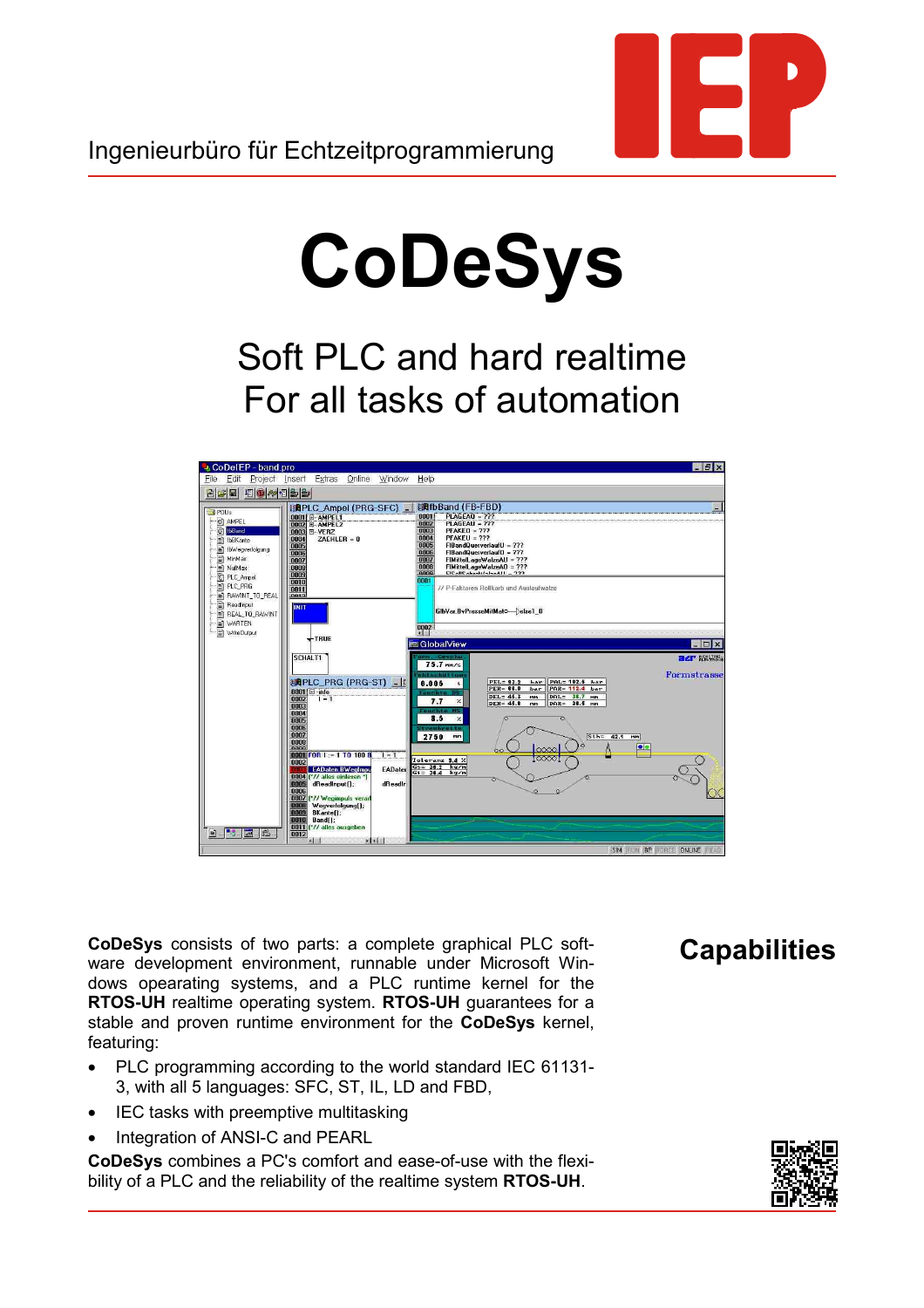# **CoDeSys**

Soft PLC and hard realtime For all tasks of automation



**CoDeSys** consists of two parts: a complete graphical PLC software development environment, runnable under Microsoft Windows opearating systems, and a PLC runtime kernel for the **RTOS-UH** realtime operating system. **RTOS-UH** guarantees for a stable and proven runtime environment for the **CoDeSys** kernel, featuring:

- PLC programming according to the world standard IEC 61131- 3, with all 5 languages: SFC, ST, IL, LD and FBD,
- IEC tasks with preemptive multitasking
- Integration of ANSI-C and PEARL

**CoDeSys** combines a PC's comfort and ease-of-use with the flexibility of a PLC and the reliability of the realtime system **RTOS-UH**.

# **Capabilities**

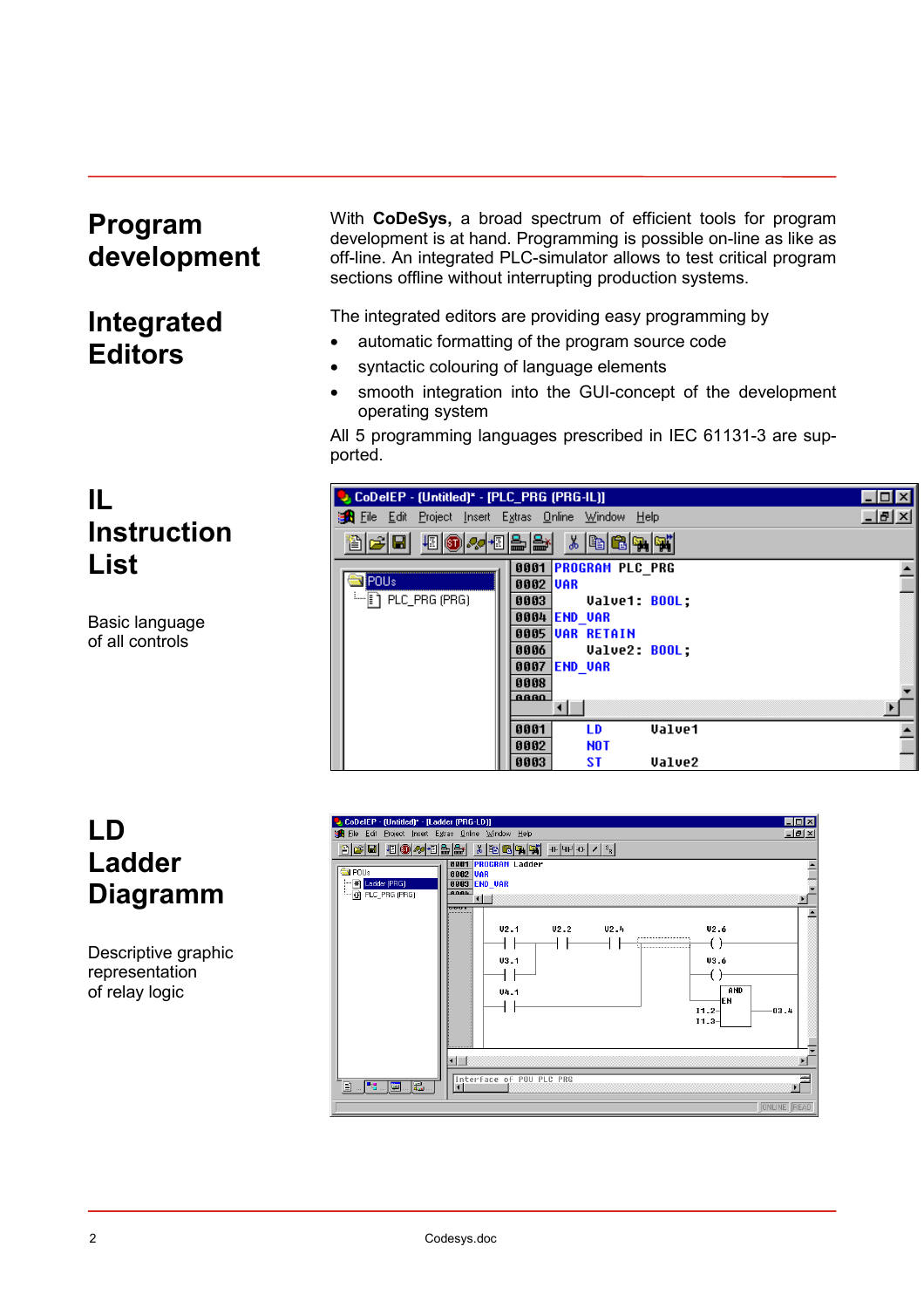#### **Program development**

## **Integrated Editors**

**Instruction**

Basic language of all controls

**IL**

**List**

With **CoDeSys,** a broad spectrum of efficient tools for program development is at hand. Programming is possible on-line as like as off-line. An integrated PLC-simulator allows to test critical program sections offline without interrupting production systems.

The integrated editors are providing easy programming by

- automatic formatting of the program source code
- syntactic colouring of language elements
- smooth integration into the GUI-concept of the development operating system

All 5 programming languages prescribed in IEC 61131-3 are supported.

| CoDeIEP - (Untitled)* - [PLC_PRG (PRG-IL)]                                                      |                                                                                                                          |                                                                        |               |     |
|-------------------------------------------------------------------------------------------------|--------------------------------------------------------------------------------------------------------------------------|------------------------------------------------------------------------|---------------|-----|
| <b>The Edit Project Insert Extras Online Window Help</b>                                        |                                                                                                                          |                                                                        |               | 그리지 |
| 個の々個品牌<br>arh                                                                                   |                                                                                                                          | $\mathbb{Z}[\mathbb{R}[\mathbb{S}]\mathbb{R}]$                         |               |     |
| <b>IPOUs</b><br>$\leftarrow$ $\left[\!\!\left[\begin{array}{c}\right]\!\!\right]$ PLC_PRG (PRG) | 0001<br>0002 UAR<br>0003<br>0004 <b>END VAR</b><br>0005 UAR RETAIN<br>0006<br>0007 <b>END VAR</b><br>0008<br><b>BBBB</b> | <b>PROGRAM PLC PRG</b><br><b>Value1: BOOL:</b><br><b>Value2: BOOL:</b> |               |     |
|                                                                                                 | 0001                                                                                                                     | LD                                                                     | <b>Value1</b> |     |
|                                                                                                 | 0002<br>0003                                                                                                             | <b>NOT</b><br>ST                                                       | <b>Value2</b> |     |

### **LD Ladder Diagramm**

Descriptive graphic representation of relay logic

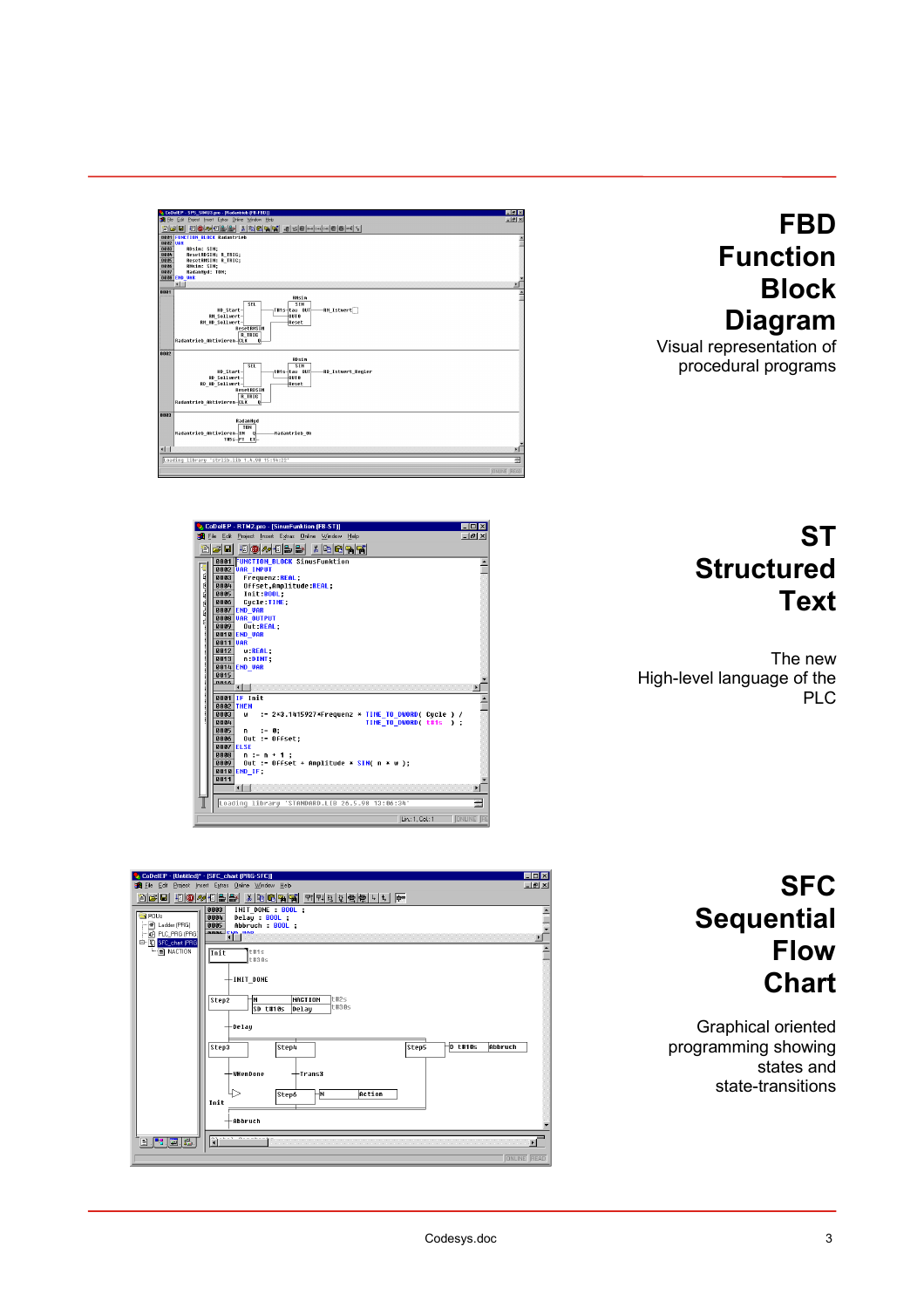

Visual representation of procedural programs



 $-181$ 

# **ST Structured Text**

The new High-level language of the PLC



|                                       | CoDelEP - (Untitled)* - [SFC_chart (PRG-SFC)]                                                         | $\Box$ D $\times$     |  |  |  |
|---------------------------------------|-------------------------------------------------------------------------------------------------------|-----------------------|--|--|--|
|                                       | The Edit Project Insert Extras Online Window Help                                                     | $-10 \times$          |  |  |  |
| 8 F E                                 | <b>48 3 20 48 全日 1 3 1 3 4</b><br>$ X $ ( $ X $ $ W $ $ W $ $ W $ $ W $ $ W $ $ W $ $ W $ $ W $ $ W $ |                       |  |  |  |
| <b>SPOU</b> s                         | INIT DONE : BOOL ;<br>0003                                                                            |                       |  |  |  |
| - In Ladder (PRG)                     | 0004<br>Delay : BOOL ;<br>Abbruch : BOOL :<br>0005                                                    |                       |  |  |  |
| $-69$ PLC_PRG (PRG)                   | <b>BBBA</b> CHO HOD                                                                                   |                       |  |  |  |
| 白骨 SFC_chart (PRG                     |                                                                                                       | $\blacktriangleright$ |  |  |  |
| $ \mathbb{R}$ NACTION                 | t#1s<br>Init                                                                                          |                       |  |  |  |
|                                       | t#30s                                                                                                 |                       |  |  |  |
|                                       |                                                                                                       |                       |  |  |  |
|                                       | $+$ INIT DONE                                                                                         |                       |  |  |  |
|                                       | <b>NACTION</b><br>t#2s<br>Step2<br>ł۲                                                                 |                       |  |  |  |
|                                       | t#30s<br>$SD$ $t$ #18s<br>Delay                                                                       |                       |  |  |  |
|                                       |                                                                                                       |                       |  |  |  |
|                                       | $+$ Delay                                                                                             |                       |  |  |  |
|                                       |                                                                                                       |                       |  |  |  |
|                                       | $-D$ t#10s<br>Abbruch<br>Step3<br>Step4<br>Step5                                                      |                       |  |  |  |
|                                       |                                                                                                       |                       |  |  |  |
|                                       | →WHenDone<br>$+$ Trans3                                                                               |                       |  |  |  |
|                                       |                                                                                                       |                       |  |  |  |
|                                       | Action<br>⊹Ν<br>Step6                                                                                 |                       |  |  |  |
|                                       | Init                                                                                                  |                       |  |  |  |
|                                       |                                                                                                       |                       |  |  |  |
|                                       | -Abbruch                                                                                              |                       |  |  |  |
|                                       |                                                                                                       |                       |  |  |  |
| $\blacksquare$ is $\blacksquare$ is . | <b>Pitcher Street Street</b>                                                                          | E                     |  |  |  |
|                                       |                                                                                                       | <b>ONLINE READ</b>    |  |  |  |

### **SFC Sequential Flow Chart**

Graphical oriented programming showing states and state-transitions